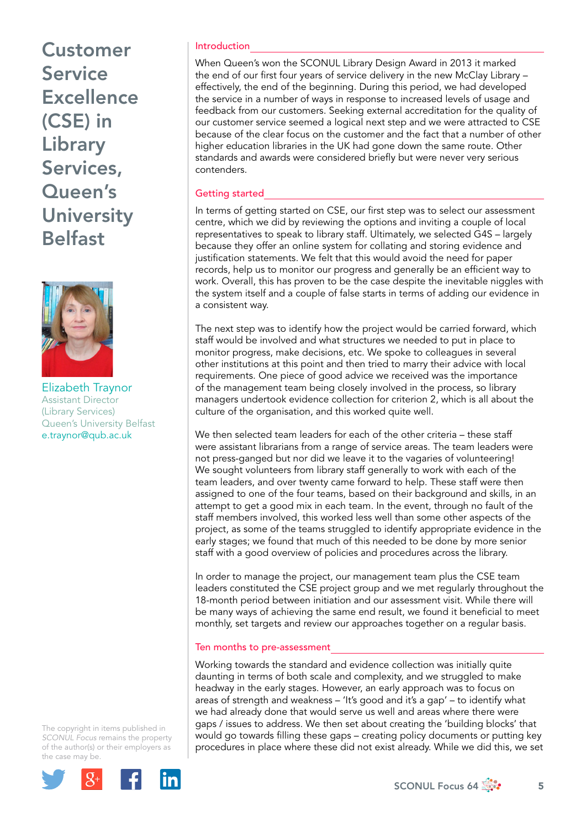# Customer Service **Excellence** (CSE) in Library Services, Queen's **University** Belfast



Elizabeth Traynor Assistant Director (Library Services) Queen's University Belfast e.traynor@qub.ac.uk

The copyright in items published in *SCONUL Focus* remains the property of the author(s) or their employers as the case m[ay be.](http://plus.google.com/share?url=http://www.sconul.ac.uk/page/focus-64)



### Introduction

When Queen's won the SCONUL Library Design Award in 2013 it marked the end of our first four years of service delivery in the new McClay Library – effectively, the end of the beginning. During this period, we had developed the service in a number of ways in response to increased levels of usage and feedback from our customers. Seeking external accreditation for the quality of our customer service seemed a logical next step and we were attracted to CSE because of the clear focus on the customer and the fact that a number of other higher education libraries in the UK had gone down the same route. Other standards and awards were considered briefly but were never very serious contenders.

### Getting started

In terms of getting started on CSE, our first step was to select our assessment centre, which we did by reviewing the options and inviting a couple of local representatives to speak to library staff. Ultimately, we selected G4S – largely because they offer an online system for collating and storing evidence and justification statements. We felt that this would avoid the need for paper records, help us to monitor our progress and generally be an efficient way to work. Overall, this has proven to be the case despite the inevitable niggles with the system itself and a couple of false starts in terms of adding our evidence in a consistent way.

The next step was to identify how the project would be carried forward, which staff would be involved and what structures we needed to put in place to monitor progress, make decisions, etc. We spoke to colleagues in several other institutions at this point and then tried to marry their advice with local requirements. One piece of good advice we received was the importance of the management team being closely involved in the process, so library managers undertook evidence collection for criterion 2, which is all about the culture of the organisation, and this worked quite well.

We then selected team leaders for each of the other criteria – these staff were assistant librarians from a range of service areas. The team leaders were not press-ganged but nor did we leave it to the vagaries of volunteering! We sought volunteers from library staff generally to work with each of the team leaders, and over twenty came forward to help. These staff were then assigned to one of the four teams, based on their background and skills, in an attempt to get a good mix in each team. In the event, through no fault of the staff members involved, this worked less well than some other aspects of the project, as some of the teams struggled to identify appropriate evidence in the early stages; we found that much of this needed to be done by more senior staff with a good overview of policies and procedures across the library.

In order to manage the project, our management team plus the CSE team leaders constituted the CSE project group and we met regularly throughout the 18-month period between initiation and our assessment visit. While there will be many ways of achieving the same end result, we found it beneficial to meet monthly, set targets and review our approaches together on a regular basis.

#### Ten months to pre-assessment

Working towards the standard and evidence collection was initially quite daunting in terms of both scale and complexity, and we struggled to make headway in the early stages. However, an early approach was to focus on areas of strength and weakness – 'It's good and it's a gap' – to identify what we had already done that would serve us well and areas where there were gaps / issues to address. We then set about creating the 'building blocks' that would go towards filling these gaps – creating policy documents or putting key procedures in place where these did not exist already. While we did this, we set

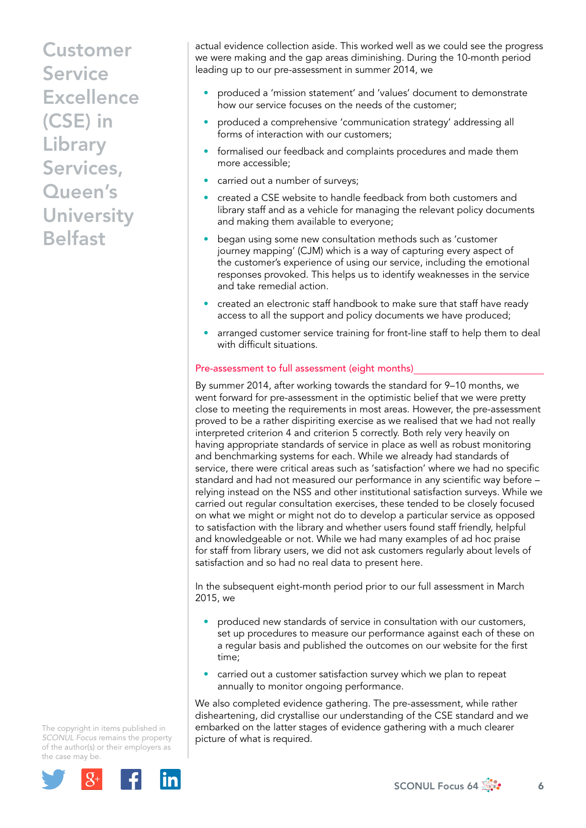# Customer Service **Excellence** (CSE) in Library Services, Queen's **University** Belfast

actual evidence collection aside. This worked well as we could see the progress we were making and the gap areas diminishing. During the 10-month period leading up to our pre-assessment in summer 2014, we

- produced a 'mission statement' and 'values' document to demonstrate how our service focuses on the needs of the customer;
- produced a comprehensive 'communication strategy' addressing all forms of interaction with our customers;
- formalised our feedback and complaints procedures and made them more accessible;
- carried out a number of surveys;
- created a CSE website to handle feedback from both customers and library staff and as a vehicle for managing the relevant policy documents and making them available to everyone;
- began using some new consultation methods such as 'customer journey mapping' (CJM) which is a way of capturing every aspect of the customer's experience of using our service, including the emotional responses provoked. This helps us to identify weaknesses in the service and take remedial action.
- created an electronic staff handbook to make sure that staff have ready access to all the support and policy documents we have produced;
- arranged customer service training for front-line staff to help them to deal with difficult situations.

## Pre-assessment to full assessment (eight months)

By summer 2014, after working towards the standard for 9–10 months, we went forward for pre-assessment in the optimistic belief that we were pretty close to meeting the requirements in most areas. However, the pre-assessment proved to be a rather dispiriting exercise as we realised that we had not really interpreted criterion 4 and criterion 5 correctly. Both rely very heavily on having appropriate standards of service in place as well as robust monitoring and benchmarking systems for each. While we already had standards of service, there were critical areas such as 'satisfaction' where we had no specific standard and had not measured our performance in any scientific way before – relying instead on the NSS and other institutional satisfaction surveys. While we carried out regular consultation exercises, these tended to be closely focused on what we might or might not do to develop a particular service as opposed to satisfaction with the library and whether users found staff friendly, helpful and knowledgeable or not. While we had many examples of ad hoc praise for staff from library users, we did not ask customers regularly about levels of satisfaction and so had no real data to present here.

In the subsequent eight-month period prior to our full assessment in March 2015, we

- produced new standards of service in consultation with our customers, set up procedures to measure our performance against each of these on a regular basis and published the outcomes on our website for the first time;
- carried out a customer satisfaction survey which we plan to repeat annually to monitor ongoing performance.

We also completed evidence gathering. The pre-assessment, while rather disheartening, did crystallise our understanding of the CSE standard and we embarked on the latter stages of evidence gathering with a much clearer picture of what is required.

The copyright in items published in *SCONUL Focus* remains the property of the author(s) or their employers as the case m[ay be.](http://plus.google.com/share?url=http://www.sconul.ac.uk/page/focus-64)